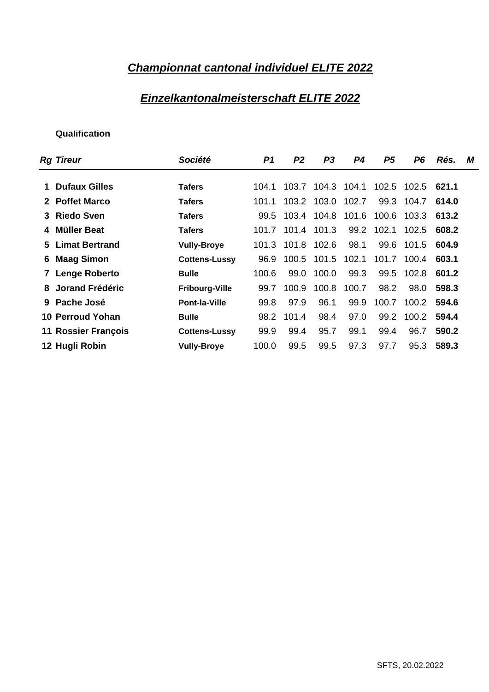# **Championnat cantonal individuel ELITE 2022**

### **Einzelkantonalmeisterschaft ELITE 2022**

| Société               |  |       |  |  |                                                                                                                                                                                                                                                                                                                                                                                                                                                                                                                                                 |
|-----------------------|--|-------|--|--|-------------------------------------------------------------------------------------------------------------------------------------------------------------------------------------------------------------------------------------------------------------------------------------------------------------------------------------------------------------------------------------------------------------------------------------------------------------------------------------------------------------------------------------------------|
|                       |  |       |  |  |                                                                                                                                                                                                                                                                                                                                                                                                                                                                                                                                                 |
| <b>Tafers</b>         |  |       |  |  |                                                                                                                                                                                                                                                                                                                                                                                                                                                                                                                                                 |
| <b>Tafers</b>         |  |       |  |  |                                                                                                                                                                                                                                                                                                                                                                                                                                                                                                                                                 |
| <b>Tafers</b>         |  |       |  |  |                                                                                                                                                                                                                                                                                                                                                                                                                                                                                                                                                 |
| <b>Tafers</b>         |  |       |  |  |                                                                                                                                                                                                                                                                                                                                                                                                                                                                                                                                                 |
| <b>Vully-Broye</b>    |  |       |  |  |                                                                                                                                                                                                                                                                                                                                                                                                                                                                                                                                                 |
| <b>Cottens-Lussy</b>  |  |       |  |  |                                                                                                                                                                                                                                                                                                                                                                                                                                                                                                                                                 |
| <b>Bulle</b>          |  |       |  |  |                                                                                                                                                                                                                                                                                                                                                                                                                                                                                                                                                 |
| <b>Fribourg-Ville</b> |  |       |  |  |                                                                                                                                                                                                                                                                                                                                                                                                                                                                                                                                                 |
| <b>Pont-la-Ville</b>  |  |       |  |  |                                                                                                                                                                                                                                                                                                                                                                                                                                                                                                                                                 |
| <b>Bulle</b>          |  |       |  |  |                                                                                                                                                                                                                                                                                                                                                                                                                                                                                                                                                 |
| <b>Cottens-Lussy</b>  |  |       |  |  |                                                                                                                                                                                                                                                                                                                                                                                                                                                                                                                                                 |
| <b>Vully-Broye</b>    |  |       |  |  |                                                                                                                                                                                                                                                                                                                                                                                                                                                                                                                                                 |
|                       |  | P1 P2 |  |  | P3 P4 P5 P6 Rés. M<br>104.1 103.7 104.3 104.1 102.5 102.5 621.1<br>101.1 103.2 103.0 102.7 99.3 104.7 614.0<br>99.5 103.4 104.8 101.6 100.6 103.3 613.2<br>101.7 101.4 101.3 99.2 102.1 102.5 608.2<br>101.3 101.8 102.6 98.1 99.6 101.5 604.9<br>96.9 100.5 101.5 102.1 101.7 100.4 603.1<br>100.6 99.0 100.0 99.3 99.5 102.8 601.2<br>99.7 100.9 100.8 100.7 98.2 98.0 598.3<br>99.8 97.9 96.1 99.9 100.7 100.2 594.6<br>98.2 101.4 98.4 97.0 99.2 100.2 594.4<br>99.9 99.4 95.7 99.1 99.4 96.7 590.2<br>100.0 99.5 99.5 97.3 97.7 95.3 589.3 |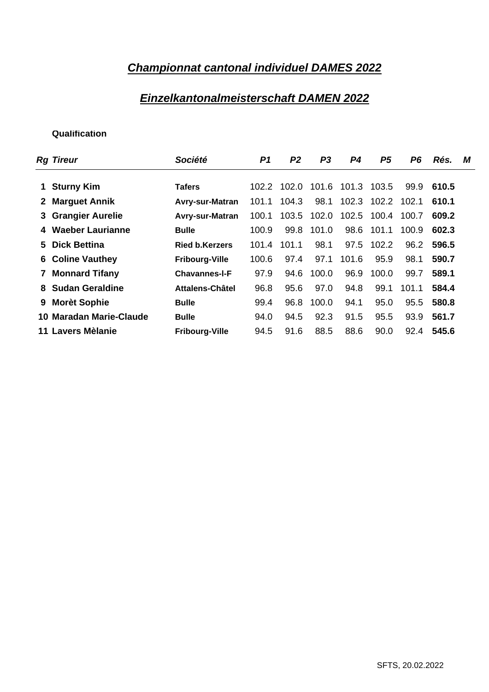### **Championnat cantonal individuel DAMES 2022**

### **Einzelkantonalmeisterschaft DAMEN 2022**

| Société               |  |  |  |  |                                                                                                                                                                                                                                                                                                                                                                                                                                                                                             |
|-----------------------|--|--|--|--|---------------------------------------------------------------------------------------------------------------------------------------------------------------------------------------------------------------------------------------------------------------------------------------------------------------------------------------------------------------------------------------------------------------------------------------------------------------------------------------------|
|                       |  |  |  |  |                                                                                                                                                                                                                                                                                                                                                                                                                                                                                             |
| <b>Tafers</b>         |  |  |  |  |                                                                                                                                                                                                                                                                                                                                                                                                                                                                                             |
|                       |  |  |  |  |                                                                                                                                                                                                                                                                                                                                                                                                                                                                                             |
|                       |  |  |  |  |                                                                                                                                                                                                                                                                                                                                                                                                                                                                                             |
| <b>Bulle</b>          |  |  |  |  |                                                                                                                                                                                                                                                                                                                                                                                                                                                                                             |
| <b>Ried b.Kerzers</b> |  |  |  |  |                                                                                                                                                                                                                                                                                                                                                                                                                                                                                             |
| <b>Fribourg-Ville</b> |  |  |  |  |                                                                                                                                                                                                                                                                                                                                                                                                                                                                                             |
| <b>Chavannes-I-F</b>  |  |  |  |  |                                                                                                                                                                                                                                                                                                                                                                                                                                                                                             |
| Attalens-Châtel       |  |  |  |  |                                                                                                                                                                                                                                                                                                                                                                                                                                                                                             |
| <b>Bulle</b>          |  |  |  |  |                                                                                                                                                                                                                                                                                                                                                                                                                                                                                             |
| <b>Bulle</b>          |  |  |  |  |                                                                                                                                                                                                                                                                                                                                                                                                                                                                                             |
|                       |  |  |  |  |                                                                                                                                                                                                                                                                                                                                                                                                                                                                                             |
|                       |  |  |  |  | P1 P2 P3 P4 P5 P6 Rés. M<br>102.2 102.0 101.6 101.3 103.5 99.9 610.5<br>Avry-sur-Matran 101.1 104.3 98.1 102.3 102.2 102.1 610.1<br>Avry-sur-Matran 100.1 103.5 102.0 102.5 100.4 100.7 609.2<br>100.9 99.8 101.0 98.6 101.1 100.9 602.3<br>101.4 101.1 98.1 97.5 102.2 96.2 596.5<br>100.6 97.4 97.1 101.6 95.9 98.1 590.7<br>97.9 94.6 100.0 96.9 100.0 99.7 589.1<br>96.8 95.6 97.0 94.8 99.1 101.1 584.4<br>99.4 96.8 100.0 94.1 95.0 95.5 580.8<br>94.0 94.5 92.3 91.5 95.5 93.9 561.7 |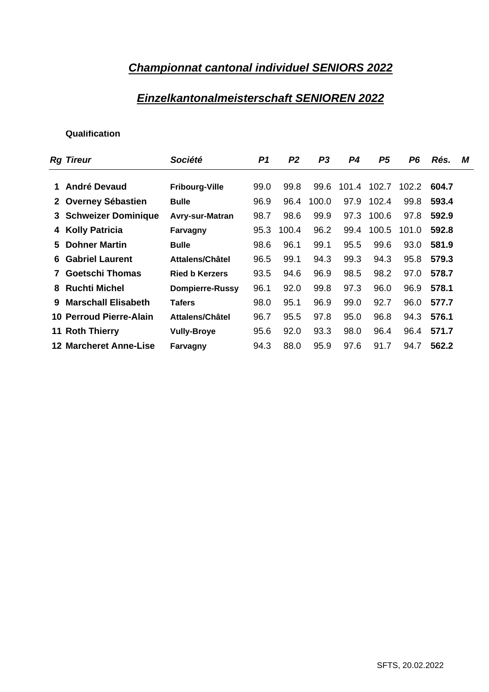### **Championnat cantonal individuel SENIORS 2022**

### **Einzelkantonalmeisterschaft SENIOREN 2022**

| <b>Rg Tireur</b>                      | Société                                             |                                        | P1 P2 P3 P4 P5 P6 Rés. M               |  |  |  |
|---------------------------------------|-----------------------------------------------------|----------------------------------------|----------------------------------------|--|--|--|
|                                       |                                                     |                                        |                                        |  |  |  |
| 1 André Devaud                        | <b>Fribourg-Ville</b>                               | 99.0 99.8 99.6 101.4 102.7 102.2 604.7 |                                        |  |  |  |
| 2 Overney Sébastien                   | <b>Bulle</b>                                        | 96.9 96.4 100.0 97.9 102.4 99.8 593.4  |                                        |  |  |  |
| 3 Schweizer Dominique Avry-sur-Matran |                                                     | 98.7 98.6 99.9 97.3 100.6 97.8 592.9   |                                        |  |  |  |
| 4 Kolly Patricia                      | Farvagny                                            |                                        | 95.3 100.4 96.2 99.4 100.5 101.0 592.8 |  |  |  |
| 5 Dohner Martin                       | <b>Bulle</b>                                        |                                        | 98.6 96.1 99.1 95.5 99.6 93.0 581.9    |  |  |  |
| <b>6 Gabriel Laurent</b>              | Attalens/Châtel                                     | 96.5 99.1 94.3 99.3 94.3 95.8 579.3    |                                        |  |  |  |
| 7 Goetschi Thomas                     | <b>Ried b Kerzers</b>                               | 93.5 94.6 96.9 98.5 98.2 97.0 578.7    |                                        |  |  |  |
| 8 Ruchti Michel                       | Dompierre-Russy 96.1 92.0 99.8 97.3 96.0 96.9 578.1 |                                        |                                        |  |  |  |
| 9 Marschall Elisabeth                 | <b>Tafers</b>                                       | 98.0 95.1 96.9 99.0 92.7 96.0 577.7    |                                        |  |  |  |
| 10 Perroud Pierre-Alain               | Attalens/Châtel                                     | 96.7 95.5 97.8 95.0 96.8 94.3 576.1    |                                        |  |  |  |
| 11 Roth Thierry                       | <b>Vully-Broye</b>                                  | 95.6 92.0 93.3 98.0 96.4 96.4 571.7    |                                        |  |  |  |
|                                       |                                                     |                                        |                                        |  |  |  |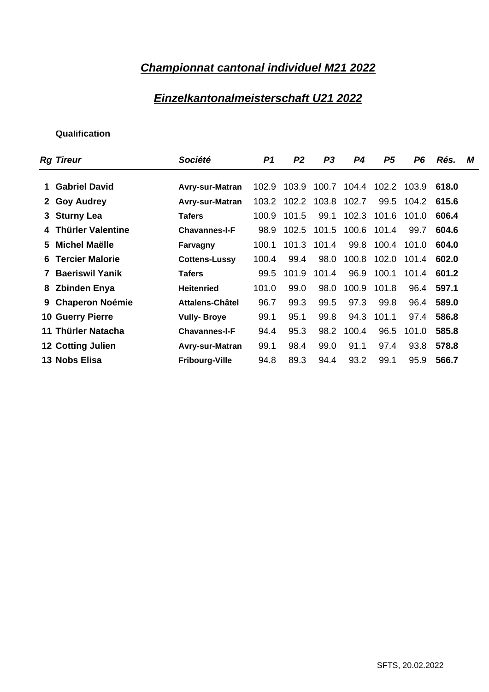# **Championnat cantonal individuel M21 2022**

### **Einzelkantonalmeisterschaft U21 2022**

| <b>Rg Tireur</b>         | Société                                                   |                                          |  |  |  | P1 P2 P3 P4 P5 P6 Rés. M |
|--------------------------|-----------------------------------------------------------|------------------------------------------|--|--|--|--------------------------|
|                          |                                                           |                                          |  |  |  |                          |
| 1 Gabriel David          | Avry-sur-Matran 102.9 103.9 100.7 104.4 102.2 103.9 618.0 |                                          |  |  |  |                          |
| 2 Goy Audrey             | Avry-sur-Matran 103.2 102.2 103.8 102.7 99.5 104.2 615.6  |                                          |  |  |  |                          |
| 3 Sturny Lea             | Tafers                                                    | 100.9 101.5 99.1 102.3 101.6 101.0 606.4 |  |  |  |                          |
| 4 Thürler Valentine      | <b>Chavannes-I-F</b>                                      | 98.9 102.5 101.5 100.6 101.4 99.7 604.6  |  |  |  |                          |
| 5 Michel Maëlle          | Farvagny                                                  | 100.1 101.3 101.4 99.8 100.4 101.0 604.0 |  |  |  |                          |
| <b>6 Tercier Malorie</b> | <b>Cottens-Lussy</b>                                      | 100.4 99.4 98.0 100.8 102.0 101.4 602.0  |  |  |  |                          |
| 7 Baeriswil Yanik        | <b>Tafers</b>                                             | 99.5 101.9 101.4 96.9 100.1 101.4 601.2  |  |  |  |                          |
| 8 Zbinden Enya           | <b>Heitenried</b>                                         | 101.0 99.0 98.0 100.9 101.8 96.4 597.1   |  |  |  |                          |
| 9 Chaperon Noémie        | Attalens-Châtel                                           | 96.7 99.3 99.5 97.3 99.8 96.4 589.0      |  |  |  |                          |
| <b>10 Guerry Pierre</b>  | <b>Vully- Broye</b>                                       | 99.1 95.1 99.8 94.3 101.1 97.4 586.8     |  |  |  |                          |
| 11 Thürler Natacha       | <b>Chavannes-I-F</b>                                      | 94.4 95.3 98.2 100.4 96.5 101.0 585.8    |  |  |  |                          |
| 12 Cotting Julien        | Avry-sur-Matran                                           | 99.1 98.4 99.0 91.1 97.4 93.8 578.8      |  |  |  |                          |
| 13 Nobs Elisa            | <b>Fribourg-Ville</b>                                     | 94.8 89.3 94.4 93.2 99.1 95.9 566.7      |  |  |  |                          |
|                          |                                                           |                                          |  |  |  |                          |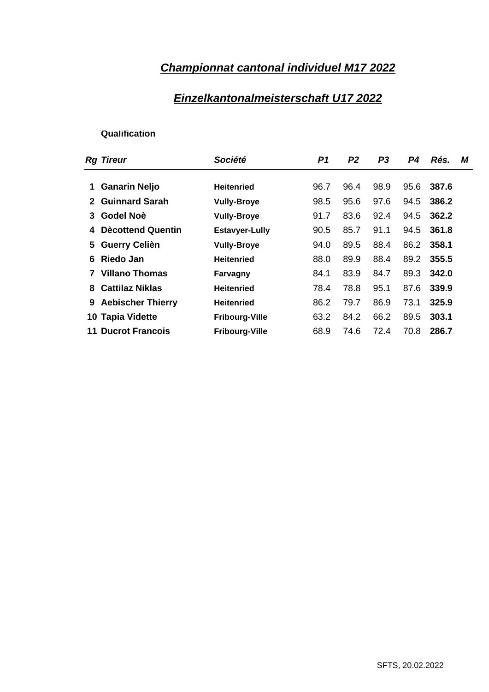# **Championnat cantonal individuel M17 2022**

## **Einzelkantonalmeisterschaft U17 2022**

| <b>Rg Tireur</b>          | Société               |           | P1 P2 P3 P4 Rés. M        |
|---------------------------|-----------------------|-----------|---------------------------|
|                           |                       |           |                           |
| 1 Ganarin Neljo           | Heitenried            |           | 96.7 96.4 98.9 95.6 387.6 |
| 2 Guinnard Sarah          | <b>Vully-Broye</b>    |           | 98.5 95.6 97.6 94.5 386.2 |
| 3 Godel Noè               | <b>Vully-Broye</b>    |           | 91.7 83.6 92.4 94.5 362.2 |
| 4 Dècottend Quentin       | <b>Estavyer-Lully</b> |           | 90.5 85.7 91.1 94.5 361.8 |
| 5 Guerry Celièn           | <b>Vully-Broye</b>    |           | 94.0 89.5 88.4 86.2 358.1 |
| 6 Riedo Jan               | <b>Heitenried</b>     | 88.0 89.9 | 88.4 89.2 355.5           |
| 7 Villano Thomas          | Farvagny              | 84.1 83.9 | 84.7 89.3 342.0           |
| 8 Cattilaz Niklas         | Heitenried            |           | 78.4 78.8 95.1 87.6 339.9 |
| 9 Aebischer Thierry       | Heitenried            |           | 86.2 79.7 86.9 73.1 325.9 |
| 10 Tapia Vidette          | <b>Fribourg-Ville</b> |           | 63.2 84.2 66.2 89.5 303.1 |
| <b>11 Ducrot Francois</b> | <b>Fribourg-Ville</b> |           | 68.9 74.6 72.4 70.8 286.7 |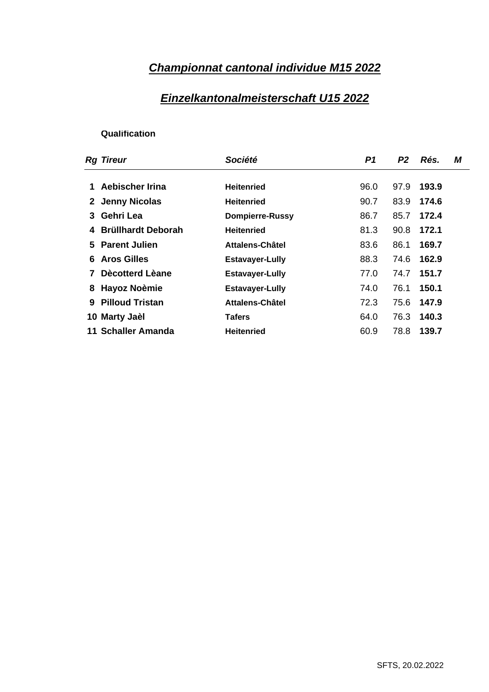# **Championnat cantonal individue M15 2022**

### **Einzelkantonalmeisterschaft U15 2022**

| <b>Rg Tireur</b>     | Société                | P1 P2 Rés. M    |
|----------------------|------------------------|-----------------|
|                      |                        |                 |
| 1 Aebischer Irina    | <b>Heitenried</b>      | 96.0 97.9 193.9 |
| 2 Jenny Nicolas      | <b>Heitenried</b>      | 90.7 83.9 174.6 |
| 3 Gehri Lea          | <b>Dompierre-Russy</b> | 86.7 85.7 172.4 |
| 4 Brüllhardt Deborah | Heitenried             | 81.3 90.8 172.1 |
| 5 Parent Julien      | Attalens-Châtel        | 83.6 86.1 169.7 |
| 6 Aros Gilles        | <b>Estavayer-Lully</b> | 88.3 74.6 162.9 |
| 7 Dècotterd Lèane    | <b>Estavayer-Lully</b> | 77.0 74.7 151.7 |
| 8 Hayoz Noèmie       | <b>Estavayer-Lully</b> | 74.0 76.1 150.1 |
| 9 Pilloud Tristan    | Attalens-Châtel        | 72.3 75.6 147.9 |
| 10 Marty Jaèl        | <b>Tafers</b>          | 64.0 76.3 140.3 |
| 11 Schaller Amanda   | <b>Heitenried</b>      | 60.9 78.8 139.7 |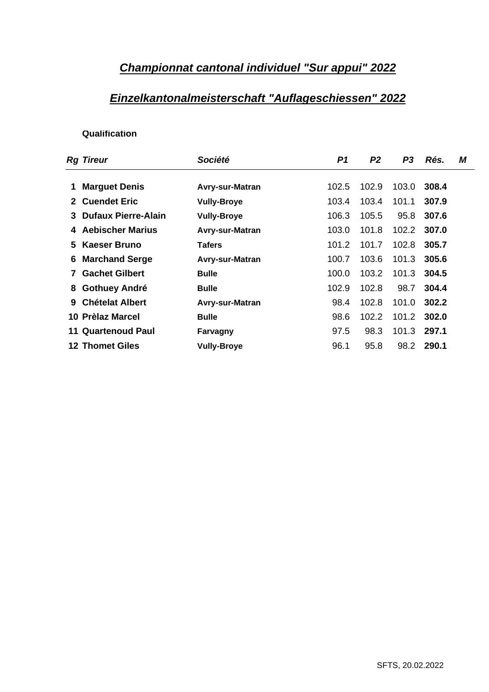### **Championnat cantonal individuel "Sur appui" 2022**

### **Einzelkantonalmeisterschaft "Auflageschiessen" 2022**

| <b>Rg Tireur</b>        | Société                | P3 Rés. M<br>P1 P2         |  |
|-------------------------|------------------------|----------------------------|--|
|                         |                        |                            |  |
| 1 Marguet Denis         | Avry-sur-Matran        | 102.5 102.9 103.0 308.4    |  |
| 2 Cuendet Eric          | <b>Vully-Broye</b>     | 103.4 103.4 101.1 307.9    |  |
| 3 Dufaux Pierre-Alain   | <b>Vully-Broye</b>     | 106.3 105.5 95.8 307.6     |  |
| 4 Aebischer Marius      | Avry-sur-Matran        | 103.0  101.8  102.2  307.0 |  |
| 5 Kaeser Bruno          | <b>Tafers</b>          | 101.2 101.7 102.8 305.7    |  |
| <b>6 Marchand Serge</b> | <b>Avry-sur-Matran</b> | 100.7 103.6 101.3 305.6    |  |
| 7 Gachet Gilbert        | <b>Bulle</b>           | 100.0 103.2 101.3 304.5    |  |
| 8 Gothuey André         | <b>Bulle</b>           | 102.9 102.8 98.7 304.4     |  |
| 9 Chételat Albert       | Avry-sur-Matran        | 98.4 102.8 101.0 302.2     |  |
| 10 Prèlaz Marcel        | <b>Bulle</b>           | 98.6 102.2 101.2 302.0     |  |
| 11 Quartenoud Paul      | Farvagny               | 97.5 98.3 101.3 297.1      |  |
| <b>12 Thomet Giles</b>  | <b>Vully-Broye</b>     | 98.2 290.1<br>96.1 95.8    |  |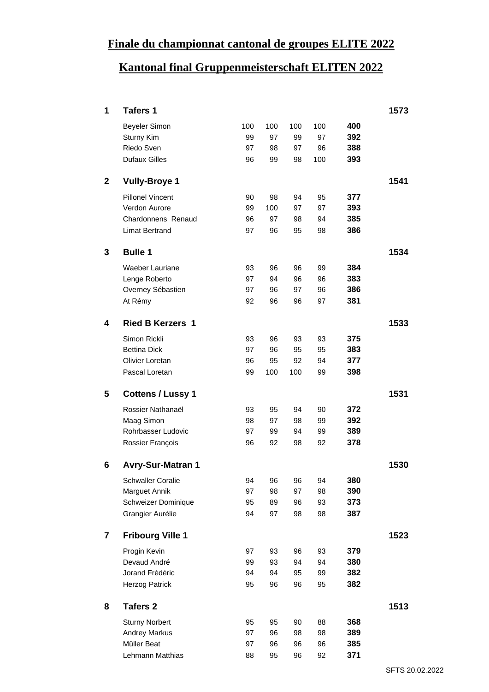### **Finale du championnat cantonal de groupes ELITE 2022**

### **Kantonal final Gruppenmeisterschaft ELITEN 2022**

|                | <b>Tafers 1</b>                     |          |          |          |          |            | 1573 |
|----------------|-------------------------------------|----------|----------|----------|----------|------------|------|
|                | <b>Beyeler Simon</b>                | 100      | 100      | 100      | 100      | 400        |      |
|                | Sturny Kim                          | 99       | 97       | 99       | 97       | 392        |      |
|                | Riedo Sven                          | 97       | 98       | 97       | 96       | 388        |      |
|                | <b>Dufaux Gilles</b>                |          | 96 99    | 98       | 100      | 393        |      |
|                | 2 Vully-Broye 1                     |          |          |          |          |            | 1541 |
|                | <b>Pillonel Vincent</b>             | 90       | 98       | 94       | 95       | 377        |      |
|                | Verdon Aurore                       | 99       | 100      | 97       | 97       | 393        |      |
|                | Chardonnens Renaud                  | 96       | 97       | 98       | 94       | 385        |      |
|                | <b>Limat Bertrand</b>               | 97       | 96       | 95       | 98       | 386        |      |
| $\mathbf{3}$   | <b>Bulle 1</b>                      |          |          |          |          |            | 1534 |
|                | Waeber Lauriane                     | 93       | 96       | 96       | 99       | 384        |      |
|                | Lenge Roberto                       | 97       | 94       | 96       | 96       | 383        |      |
|                | Overney Sébastien                   | 97       | 96       | 97       | 96       | 386        |      |
|                | At Rémy                             |          | 92 96    | 96       | 97       | 381        |      |
| $\overline{4}$ | <b>Ried B Kerzers 1</b>             |          |          |          |          |            | 1533 |
|                |                                     |          |          |          |          |            |      |
|                | Simon Rickli<br><b>Bettina Dick</b> | 93<br>97 | 96<br>96 | 93<br>95 | 93<br>95 | 375<br>383 |      |
|                | Olivier Loretan                     | 96       | 95       | 92       | 94       | 377        |      |
|                | Pascal Loretan                      |          | 99 100   | 100      | 99       | 398        |      |
|                |                                     |          |          |          |          |            |      |
|                | 5 Cottens / Lussy 1                 |          |          |          |          |            | 1531 |
|                | Rossier Nathanaël                   | 93       | 95       | 94       | 90       | 372        |      |
|                | Maag Simon                          | 98       | 97       | 98       | 99       | 392        |      |
|                | Rohrbasser Ludovic                  | 97       | 99       | 94       | 99       | 389<br>378 |      |
|                | Rossier François                    | 96       | 92       | 98       | 92       |            |      |
|                | 6 Avry-Sur-Matran 1                 |          |          |          |          |            | 1530 |
|                | <b>Schwaller Coralie</b>            | 94       | - 96     | 96       | 94       | 380        |      |
|                | <b>Marguet Annik</b>                | 97       | -98      | 97       | 98       | 390        |      |
|                | Schweizer Dominique                 | 95       | 89       | 96       | 93       | 373        |      |
|                | Grangier Aurélie                    |          | 94 97    | 98       | 98       | 387        |      |
|                | <b>Fribourg Ville 1</b>             |          |          |          |          |            | 1523 |
|                | Progin Kevin                        | 97       | 93       | 96       | 93       | 379        |      |
|                | Devaud André                        | 99       | 93       | 94       | 94       | 380        |      |
|                | Jorand Frédéric                     | 94       | 94       | 95       | 99       | 382        |      |
|                | <b>Herzog Patrick</b>               | 95       | 96       | 96       | 95       | 382        |      |
|                | 8 Tafers 2                          |          |          |          |          |            | 1513 |
|                | <b>Sturny Norbert</b>               | 95       | 95       | 90       | 88       | 368        |      |
|                | Andrey Markus                       | 97       | 96       | 98       | 98       | 389        |      |
|                | Müller Beat                         | 97       | 96       | 96       | 96       | 385        |      |
|                | Lehmann Matthias                    | 88       | 95       | 96       | 92       | 371        |      |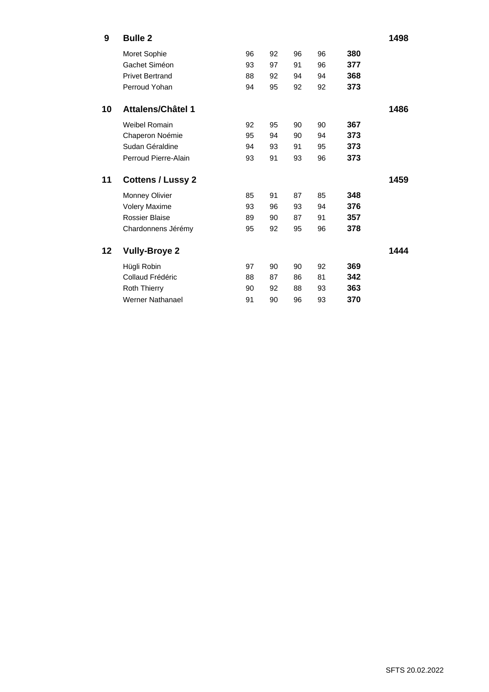| $9^{\circ}$ | <b>Bulle 2</b>         |    |      |    |    |     | 1498 |
|-------------|------------------------|----|------|----|----|-----|------|
|             | Moret Sophie           | 96 | 92   | 96 | 96 | 380 |      |
|             | Gachet Siméon          | 93 | 97   | 91 | 96 | 377 |      |
|             | <b>Privet Bertrand</b> | 88 | 92   | 94 | 94 | 368 |      |
|             | Perroud Yohan          | 94 | 95   | 92 | 92 | 373 |      |
|             |                        |    |      |    |    |     |      |
|             | 10 Attalens/Châtel 1   |    |      |    |    |     | 1486 |
|             | Weibel Romain          | 92 | 95   | 90 | 90 | 367 |      |
|             | Chaperon Noémie        | 95 | 94   | 90 | 94 | 373 |      |
|             | Sudan Géraldine        | 94 | 93   | 91 | 95 | 373 |      |
|             | Perroud Pierre-Alain   | 93 | 91   | 93 | 96 | 373 |      |
|             |                        |    |      |    |    |     |      |
|             | 11 Cottens / Lussy 2   |    |      |    |    |     | 1459 |
|             | <b>Monney Olivier</b>  | 85 | - 91 | 87 | 85 | 348 |      |
|             | Volery Maxime          | 93 | 96   | 93 | 94 | 376 |      |
|             | Rossier Blaise         | 89 | 90   | 87 | 91 | 357 |      |
|             | Chardonnens Jérémy     | 95 | 92   | 95 | 96 | 378 |      |
|             |                        |    |      |    |    |     |      |
|             | 12 Vully-Broye 2       |    |      |    |    |     | 1444 |
|             | Hügli Robin            | 97 | 90   | 90 | 92 | 369 |      |
|             | Collaud Frédéric       | 88 | 87   | 86 | 81 | 342 |      |
|             | <b>Roth Thierry</b>    | 90 | 92   | 88 | 93 | 363 |      |
|             | Werner Nathanael       | 91 | 90   | 96 | 93 | 370 |      |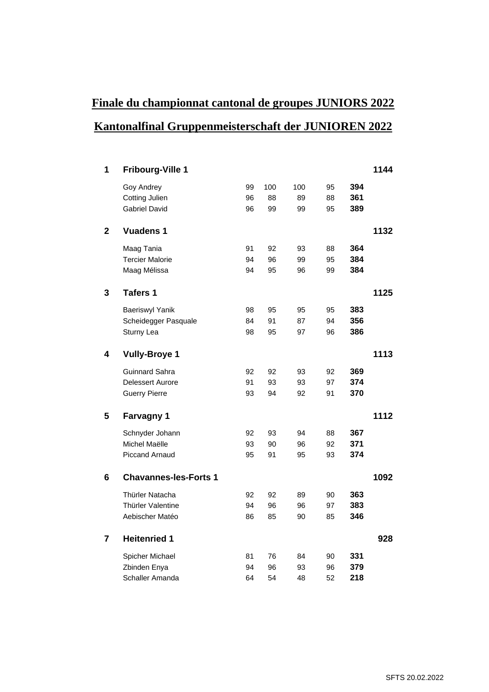# **Finale du championnat cantonal de groupes JUNIORS 2022 Kantonalfinal Gruppenmeisterschaft der JUNIOREN 2022**

| <b>Fribourg-Ville 1</b> |    |        |     |        |     | 1144 |
|-------------------------|----|--------|-----|--------|-----|------|
| Goy Andrey              |    | 99 100 | 100 | 95     | 394 |      |
| <b>Cotting Julien</b>   | 96 | 88     | 89  | 88     | 361 |      |
| <b>Gabriel David</b>    | 96 | 99     | 99  | 95     | 389 |      |
|                         |    |        |     |        |     |      |
| 2 Vuadens 1             |    |        |     |        |     | 1132 |
| Maag Tania              | 91 | 92     | 93  | 88     | 364 |      |
| <b>Tercier Malorie</b>  | 94 | 96     | 99  | 95     | 384 |      |
| Maag Mélissa            | 94 | 95     | 96  | 99     | 384 |      |
|                         |    |        |     |        |     |      |
| 3 Tafers 1              |    |        |     |        |     | 1125 |
| <b>Baeriswyl Yanik</b>  | 98 | 95     | 95  | 95     | 383 |      |
| Scheidegger Pasquale    | 84 | 91     | 87  | 94     | 356 |      |
| Sturny Lea              | 98 | 95     | 97  | 96     | 386 |      |
|                         |    |        |     |        |     |      |
| 4 Vully-Broye 1         |    |        |     |        |     | 1113 |
| <b>Guinnard Sahra</b>   | 92 | 92     | 93  | 92     | 369 |      |
| Delessert Aurore        | 91 | 93     | 93  | 97     | 374 |      |
| <b>Guerry Pierre</b>    |    | 93 94  | 92  | 91     | 370 |      |
|                         |    |        |     |        |     |      |
| 5 Farvagny 1            |    |        |     |        |     | 1112 |
| Schnyder Johann         | 92 | 93     | 94  | 88     | 367 |      |
| Michel Maëlle           | 93 | 90     | 96  | $92\,$ | 371 |      |
| <b>Piccand Arnaud</b>   | 95 | 91     | 95  | 93     | 374 |      |
|                         |    |        |     |        |     |      |
| 6 Chavannes-les-Forts 1 |    |        |     |        |     | 1092 |
|                         |    |        |     |        |     |      |
| Thürler Natacha         | 92 | 92     | 89  | 90     | 363 |      |
| Thürler Valentine       | 94 | 96     | 96  | 97     | 383 |      |
| Aebischer Matéo         | 86 | 85     | 90  | 85     | 346 |      |
| <b>Heitenried 1</b>     |    |        |     |        |     | 928  |
|                         |    |        |     |        |     |      |
| Spicher Michael         | 81 | 76     | 84  | 90     | 331 |      |
| Zbinden Enya            | 94 | 96     | 93  | $96\,$ | 379 |      |
| Schaller Amanda         | 64 | 54     | 48  | 52     | 218 |      |